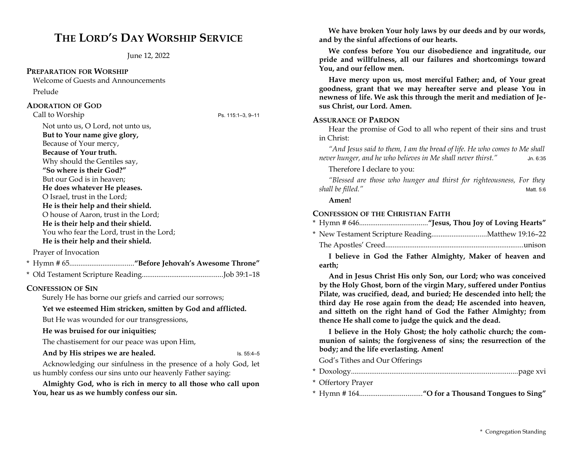# **THE LORD'S DAY WORSHIP SERVICE**

June 12, 2022

### **PREPARATION FOR WORSHIP**

Welcome of Guests and Announcements Prelude

### **ADORATION OF GOD**

Call to Worship Ps. 115:1–3, 9–11

Not unto us, O Lord, not unto us, **But to Your name give glory,**  Because of Your mercy, **Because of Your truth.**  Why should the Gentiles say, **"So where is their God?"**  But our God is in heaven; **He does whatever He pleases.**  O Israel, trust in the Lord; **He is their help and their shield.**  O house of Aaron, trust in the Lord; **He is their help and their shield.**  You who fear the Lord, trust in the Lord; **He is their help and their shield.** 

Prayer of Invocation

|--|--|--|--|--|--|

\* Old Testament Scripture Reading............................................Job 39:1–18

## **CONFESSION OF SIN**

Surely He has borne our griefs and carried our sorrows;

### **Yet we esteemed Him stricken, smitten by God and afflicted.**

But He was wounded for our transgressions,

### **He was bruised for our iniquities;**

The chastisement for our peace was upon Him,

### And by His stripes we are healed. In the set of the set of the set of the set of the set of the set of the set of the set of the set of the set of the set of the set of the set of the set of the set of the set of the set o

Acknowledging our sinfulness in the presence of a holy God, let us humbly confess our sins unto our heavenly Father saying:

**Almighty God, who is rich in mercy to all those who call upon You, hear us as we humbly confess our sin.** 

**We have broken Your holy laws by our deeds and by our words, and by the sinful affections of our hearts.** 

**We confess before You our disobedience and ingratitude, our pride and willfulness, all our failures and shortcomings toward You, and our fellow men.**

**Have mercy upon us, most merciful Father; and, of Your great goodness, grant that we may hereafter serve and please You in newness of life. We ask this through the merit and mediation of Jesus Christ, our Lord. Amen.**

### **ASSURANCE OF PARDON**

Hear the promise of God to all who repent of their sins and trust in Christ:

*"And Jesus said to them, I am the bread of life. He who comes to Me shall never hunger, and he who believes in Me shall never thirst."* Jn. 6:35

Therefore I declare to you:

*"Blessed are those who hunger and thirst for righteousness, For they shall be filled."* Matt. 5:6

### **Amen!**

### **CONFESSION OF THE CHRISTIAN FAITH**

The Apostles' Creed...........................................................................unison

**I believe in God the Father Almighty, Maker of heaven and earth;** 

**And in Jesus Christ His only Son, our Lord; who was conceived by the Holy Ghost, born of the virgin Mary, suffered under Pontius Pilate, was crucified, dead, and buried; He descended into hell; the third day He rose again from the dead; He ascended into heaven, and sitteth on the right hand of God the Father Almighty; from thence He shall come to judge the quick and the dead.** 

**I believe in the Holy Ghost; the holy catholic church; the communion of saints; the forgiveness of sins; the resurrection of the body; and the life everlasting. Amen!**

God's Tithes and Our Offerings

- \* Doxology..........................................................................................page xvi
- \* Offertory Prayer
- \* Hymn # 164..................................**"O for a Thousand Tongues to Sing"**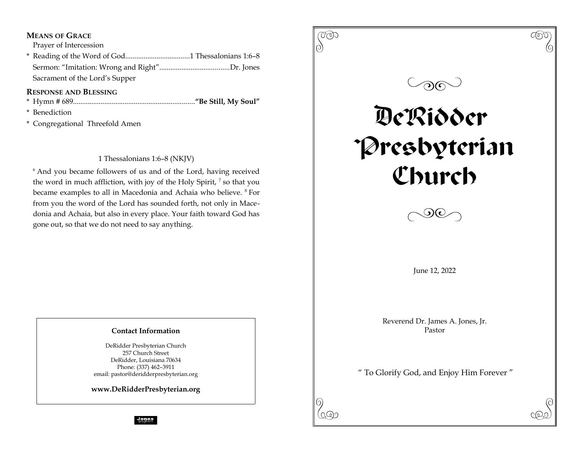## **MEANS OF GRACE**

Prayer of Intercession

\* Reading of the Word of God...................................1 Thessalonians 1:6–8 Sermon: "Imitation: Wrong and Right"......................................Dr. Jones Sacrament of the Lord's Supper

## **RESPONSE AND BLESSING**

- \* Hymn # 689..................................................................**"Be Still, My Soul"**
- \* Benediction
- \* Congregational Threefold Amen

1 Thessalonians 1:6–8 (NKJV)

<sup>6</sup> And you became followers of us and of the Lord, having received the word in much affliction, with joy of the Holy Spirit, <sup>7</sup> so that you became examples to all in Macedonia and Achaia who believe. <sup>8</sup> For from you the word of the Lord has sounded forth, not only in Macedonia and Achaia, but also in every place. Your faith toward God has gone out, so that we do not need to say anything.

## **Contact Information**

DeRidder Presbyterian Church 257 Church Street DeRidder, Louisiana 70634 Phone: (337) 462–3911 email: pastor@deridderpresbyterian.org

**www.DeRidderPresbyterian.org**

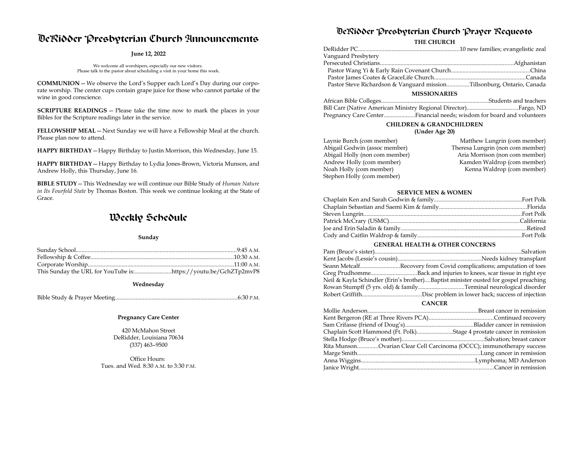# DeRidder Presbyterian Church Announcements

### **June 12, 2022**

We welcome all worshipers, especially our new visitors. Please talk to the pastor about scheduling a visit in your home this week.

**COMMUNION**—We observe the Lord's Supper each Lord's Day during our corporate worship. The center cups contain grape juice for those who cannot partake of the wine in good conscience.

**SCRIPTURE READINGS** — Please take the time now to mark the places in your Bibles for the Scripture readings later in the service.

**FELLOWSHIP MEAL**—Next Sunday we will have a Fellowship Meal at the church. Please plan now to attend.

**HAPPY BIRTHDAY**—Happy Birthday to Justin Morrison, this Wednesday, June 15.

**HAPPY BIRTHDAY**—Happy Birthday to Lydia Jones-Brown, Victoria Munson, and Andrew Holly, this Thursday, June 16.

**BIBLE STUDY**—This Wednesday we will continue our Bible Study of *Human Nature in Its Fourfold State* by Thomas Boston. This week we continue looking at the State of Grace.

# Weekly Schedule

#### **Sunday**

#### **Wednesday**

Bible Study & Prayer Meeting...................................................................................6:30 P.M.

#### **Pregnancy Care Center**

420 McMahon Street DeRidder, Louisiana 70634 (337) 463–9500

Office Hours: Tues. and Wed. 8:30 A.M. to 3:30 P.M.

## DeRidder Presbyterian Church Prayer Requests

### **THE CHURCH**

| Vanguard Presbytery                                                    |  |  |
|------------------------------------------------------------------------|--|--|
|                                                                        |  |  |
|                                                                        |  |  |
|                                                                        |  |  |
| Pastor Steve Richardson & Vanguard missionTillsonburg, Ontario, Canada |  |  |
| <b>MISSIONARIES</b>                                                    |  |  |

| Pregnancy Care CenterFinancial needs; wisdom for board and volunteers |  |
|-----------------------------------------------------------------------|--|

### **CHILDREN & GRANDCHILDREN**

#### **(Under Age 20)**

| Laynie Burch (com member)      | Matthew Lungrin (com member)     |
|--------------------------------|----------------------------------|
| Abigail Godwin (assoc member)  | Theresa Lungrin (non com member) |
| Abigail Holly (non com member) | Aria Morrison (non com member)   |
| Andrew Holly (com member)      | Kamden Waldrop (com member)      |
| Noah Holly (com member)        | Kenna Waldrop (com member)       |
| Stephen Holly (com member)     |                                  |

#### **SERVICE MEN & WOMEN**

### **GENERAL HEALTH & OTHER CONCERNS**

|  | Seann MetcalfRecovery from Covid complications; amputation of toes                  |
|--|-------------------------------------------------------------------------------------|
|  | Greg PrudhommeBack and injuries to knees, scar tissue in right eye                  |
|  | Neil & Kayla Schindler (Erin's brother)Baptist minister ousted for gospel preaching |
|  |                                                                                     |
|  |                                                                                     |
|  |                                                                                     |

#### **CANCER**

| Chaplain Scott Hammond (Ft. Polk)Stage 4 prostate cancer in remission |  |
|-----------------------------------------------------------------------|--|
|                                                                       |  |
| Rita MunsonOvarian Clear Cell Carcinoma (OCCC); immunotherapy success |  |
|                                                                       |  |
|                                                                       |  |
|                                                                       |  |